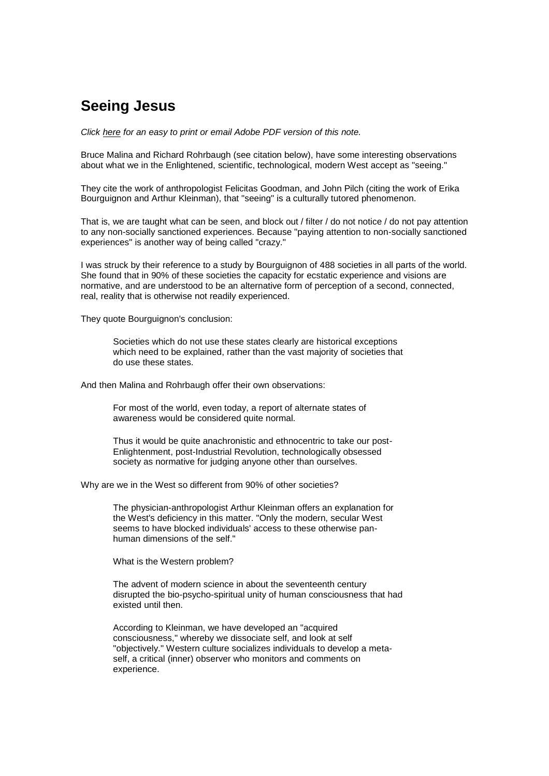## **Seeing Jesus**

*Click here for an easy to print or email Adobe PDF version of this note.*

Bruce Malina and Richard Rohrbaugh (see citation below), have some interesting observations about what we in the Enlightened, scientific, technological, modern West accept as "seeing."

They cite the work of anthropologist Felicitas Goodman, and John Pilch (citing the work of Erika Bourguignon and Arthur Kleinman), that "seeing" is a culturally tutored phenomenon.

That is, we are taught what can be seen, and block out / filter / do not notice / do not pay attention to any non-socially sanctioned experiences. Because "paying attention to non-socially sanctioned experiences" is another way of being called "crazy."

I was struck by their reference to a study by Bourguignon of 488 societies in all parts of the world. She found that in 90% of these societies the capacity for ecstatic experience and visions are normative, and are understood to be an alternative form of perception of a second, connected, real, reality that is otherwise not readily experienced.

They quote Bourguignon's conclusion:

Societies which do not use these states clearly are historical exceptions which need to be explained, rather than the vast majority of societies that do use these states.

And then Malina and Rohrbaugh offer their own observations:

For most of the world, even today, a report of alternate states of awareness would be considered quite normal.

Thus it would be quite anachronistic and ethnocentric to take our post-Enlightenment, post-Industrial Revolution, technologically obsessed society as normative for judging anyone other than ourselves.

Why are we in the West so different from 90% of other societies?

The physician-anthropologist Arthur Kleinman offers an explanation for the West's deficiency in this matter. "Only the modern, secular West seems to have blocked individuals' access to these otherwise panhuman dimensions of the self."

What is the Western problem?

The advent of modern science in about the seventeenth century disrupted the bio-psycho-spiritual unity of human consciousness that had existed until then.

According to Kleinman, we have developed an "acquired consciousness," whereby we dissociate self, and look at self "objectively." Western culture socializes individuals to develop a metaself, a critical (inner) observer who monitors and comments on experience.